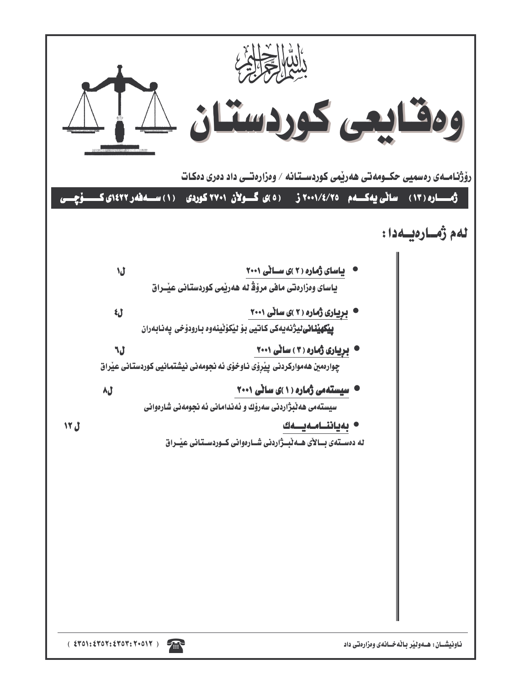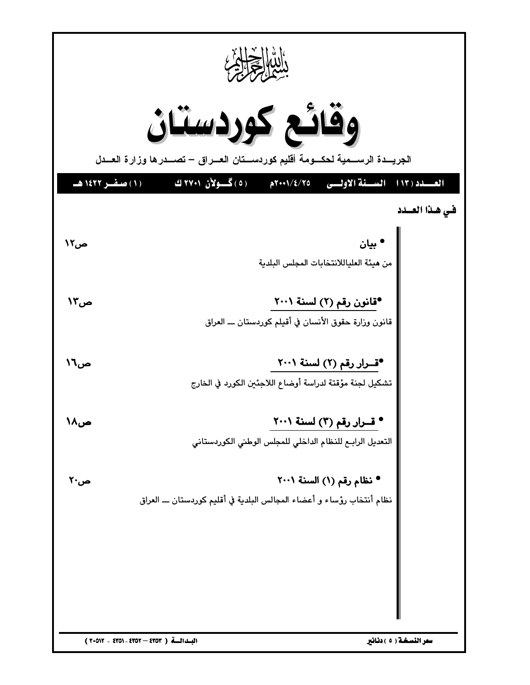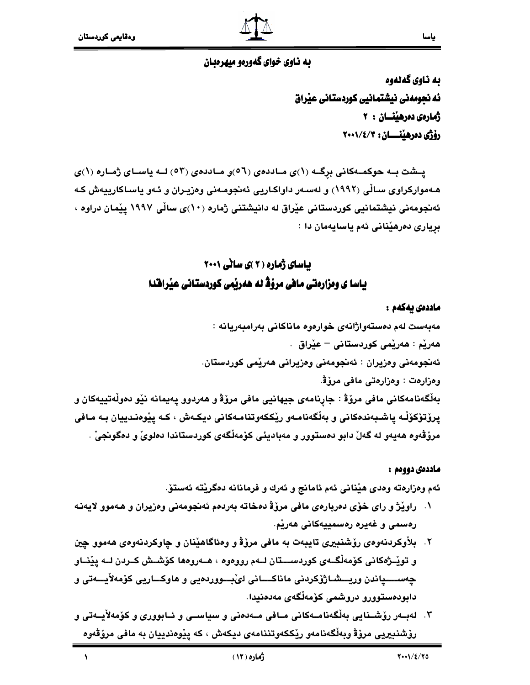$\lambda$ 

## به ناوي خواي گهوريو ميهروبان

به ناوي گەنەوە ئه نجومەنى نيشتمانيى كوردستانى عيراق ژمارەي دەرھىنسان : ٢ رۆژى دەرھينسسان: ٢٠٠١/٤/٢

یــشت بــه حوکمــهکانی برگــه (۱)ی مــاددهی (٥٦)و مــاددهی (٥٣) لــه یاســای ژمــاره (۱)ی هـهموارکراوي سـالِّي (١٩٩٢) و لهسـهر داواکـاريي ئهنجومـهني وهزيـران و ئـهو ياسـاکارييهش کـه ئەنجومەنى نيشتمانيى كوردستانى عيْراق لە دانيشتنى ژمارە (١٠)ى سالْي ١٩٩٧ ييْمان دراوە ، برياري دەرھێنانى ئەم ياسايەمان دا :

## **باسای ژماره ( ۲ )ی سانی ۲۰۰۱** یاسا ی ومزارهتی مافی مرؤڈ له هەریمی کوردستانی عیرافدا

#### ماددەى يەكەم :

مەبەست لەم دەستەواژانەي خوارەوە ماناكانى بەرامبەريانە : هەريْم : ھەريْمى كوردستانى – عيْراق . ئەنجومەنى وەزيران : ئەنجومەنى وەزيرانى ھەرێمى كوردستان. وهزارهت : وهزارهتي مافي مروّةٌ. بِهلْكَهنامهكاني مافي مروّة : جارنامهي جِيهانيي مافي مروّة و هەردوو يەيمانە نێو دەوڵەتپيەكان و يروْتوْكوْلْـه ياشـبەندەكانى و بەلْگەنامـەو رێككەوتنامـەكانى ديكـەش ، كـە يێوەنـدييان بـە مـافى مرۆڤەوە ھەيەو لە گەلْ دابو دەستوور و مەباديئى كۆمەلْگەي كوردستاندا دەلويْ و دەگونجىٰ .

### ماددەى دووەم :

ئهم وهزارهته وهدي هيِّناني ئهم ئامانج و ئەرك و فرمانانه دەگريّتە ئەستۆ.

- ١. راويْژ و راي خوّي دەربارەي مافي مروّة دەخاته بەردەم ئەنجومەنى وەزيران و ھەموو لايەنـه رەسمى و غەيرە رەسمىيەكانى ھەرٽە.
- ۲. بلأوكردنهوهي رۆشنبيرى تايبەت به مافى مرۆۋ و وەئاگاھێنان و چاوكردنهوەي ھەموو چين و توپّــژهکانی کۆمەلْگــەی کوردســــتان لــەم رووەوە ، ھــەروەھا کۆشــش کــردن لــە يێنــاو چەســــياندن وريـــشــاژۆكردنى ماناكــــانى لىْبـــووردەيى و ھاوكـــاريى كۆمەلأيـــەتى و دابودەستوورو دروشمى كۆمەلگەي مەدەنيدا.
- ۳. لەبــەر رۆشــنايى بەڵگەنامــەكانى مــافى مــەدەنى و سياســى و ئــابوورى و كۆمەلأيــەتى و رۆشنىيريى مرۆۋ وبەلگەنامەو رێككەوتننامەي ديكەش ، كە يێوەندييان بە مافى مرۆڤەوە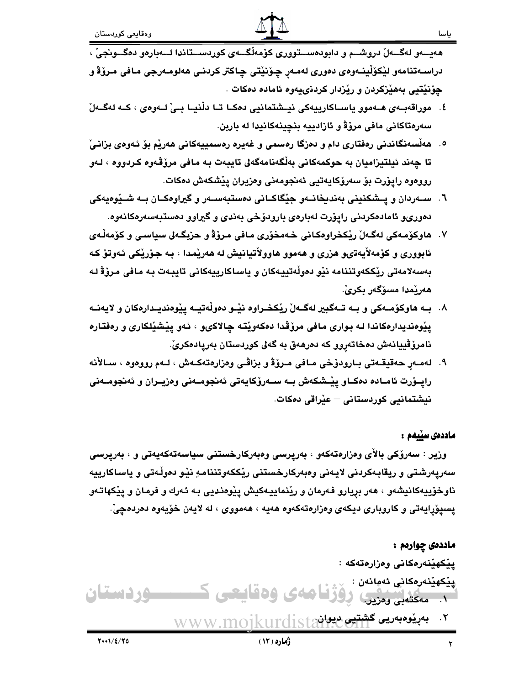هەيسەو لەگسەلْ دروشىم و دابودەسىتوورى كۆمەلْگىەي كوردسىتاندا لىەبارەو دەگسونجىٰ ، دراسـﻪتنامەو لێڪۆڵينـﻪوەي دەورى لەمـﻪر ﭼﯚنێتى ﭼﺎﻛﺘﺮ ﻛﺮﺩﻧـﻰ ﻫﻪﻟﻮﻣـﻪرﺟﻰ ﻣـﺎﻓﻰ ﻣـﺮۆﯞ ﻭ چۆنێتيى بەھێزكردن و رێزدار كردنىيەوە ئامادە دەكات .

- ٤. موراقەبــەي ھــەموو ياســاكارييەكى نيــشتمانيى دەكـا تــا دڵنيــا بــىٰ لــەوەي ، كــە لەگــەلْ سەرەتاكانى مافى مرۆۋ و ئازادييە بنچينەكانيدا لە باربن.
- ٥. هەڵسەنگاندنى رەڧتارى دام و دەزگا رەسمى و غەيرە رەسمىيەكانى ھەرێم بۆ ئـەوەي بزانـىْ تا چەند ئيلتيزاميان بە حوكمەكانى بەلْگەنامەگەلى تايبەت بـە مـافى مرۆڭەوە كـردووە ، لـەو رووەوە رايۆرت بۆ سەرۆكايەتيى ئەنجومەنى وەزىران يۆشكەش دەكات.
- ٦. ســهردان و يــشكنيني بهنديخانــهو جێكاكــاني دهستبهســهر و گيراوهكــان بــه شــێوهيهكي دەورىو ئامادەكردنى رايۆرت لەبارەي بارودۆخى بەندى و گيراوو دەستبەسەرەكانەوە.
- ٧. هاوكۆمەكى لەگەلْ رێكخراوەكانى خەمخۆرى مافى مرۆۋ و حزبگەلى سياسى و كۆمەڵەي ئابووری و کۆمەلأيەتىو هزرى و هەموو هاوولأتيانيش له هەريمدا ، بـه جۆريكى ئـەوتۆ كـه بەسەلامەتى ريككەوتننامە نيو دەولّەتييەكان و ياساكارييەكانى تايبەت بە مافى مرۆۋ لە ھەرێمدا مسۆگەر بكرىْ.
- ۸. بـه هاوکۆمـهکی و بـه تـهگبیر لهگـهلٌ ریْکخـراوه نیْـو دمولْهتیـه ییْومندیـدارهکان و لایهنـه يێوەنديدارەكاندا لـه بـوارى مـافى مرۆڤدا دەكەوێتـه چالاكىو ، ئـەو يێشێلكارى و رەفتـارە نامرۆڤييانەش دەخاتەروو كە دەرھەق بە گەلى كوردستان بەريادەكرىّ.
- ۹. لەمەر ھەقيقەتى بـارودۆخى مـافى مـرۆۋ و بزاڤـى وەزارەتەكـەش ، لـەم رووەوە ، سـالأنە رايــۆرت ئامــادە دەكــاو يێـشكەش بــه ســەرۆكايەتى ئەنجومــەنى وەزيــران و ئەنجومــەنى نیشتمانیی کوردستانی – عیراقی دمکات.

### ماددەى سىيەم :

وزير : سەرۆكى بالأي وەزارەتەكەو ، بەريرسى وەبەركارخستنى سياسەتەكەيەتى و ، بەريرسى سەريەرشتى و ريقابەكردنى لايەنى وەبەركارخستنى ريككەوتننامەٍ نيْو دەولْەتى و ياساكارييە ناوخۆييەكانيشەو ، ھەر بريارو فەرمان و رێنماييەكيش يێوەنديي بـه ئـەرك و فرمان و يێكهاتـەو يسيۆرايەتى و كاروبارى ديكەي وەزارەتەكەوە ھەيە ، ھەمووى ، لە لايەن خۆيەوە دەردەچىّ.

## ماددهۍ چوارهم : يێِكهێنەرەكانى وەزارەتەكە :

يێكهێنەرەكانى ئەمانەن : ١. مەكتەبى وەزير. ووقى هادى 1.21400 **1 Limit 3 10** ۲. بەريوەبەريى گ<del>شتيى ديوانم جاران</del> WWW.MO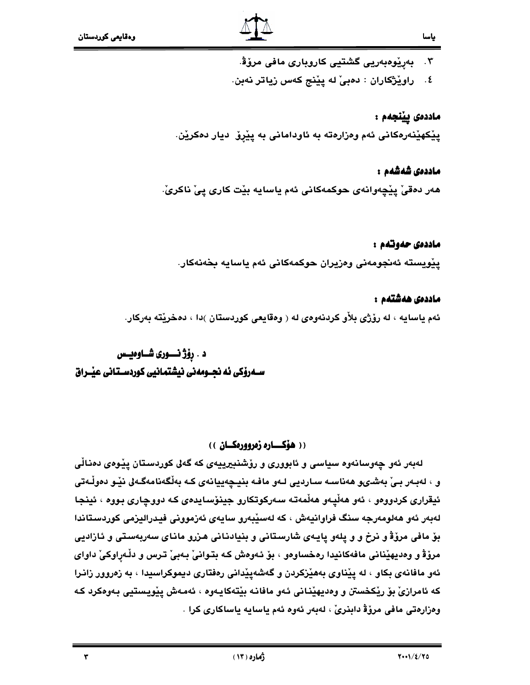- .<br>۳. بەرنوەبەريى گشتيى كاروبارى مافى مرۆۋ.
- ٤. راويْژْكاران : دەبىْ له ييْنج كەس زياتر نەبن.

ماددەى يېٽجەم : يێۣڬهێنەرەكانى ئەم وەزارەتە بە ئاودامانى بە يێرۆ ديار دەكرێن.

ماددەى شەشەم :

هەر دەقىٰ يێڃەوانەي حوكمەكانى ئەم ياسايە بێت كارى يىْ ناكرىٰ.

### ماددەى حەوتەم :

يێويسته ئەنجومەنى وەزيران حوكمەكانى ئەم ياسايە بخەنەكار.

### ماددەى ھەشتەم :

ئهم ياسايه ، له رۆژى بلأو كردنهوەي له ( وەقايعى كوردستان )دا ، دەخريته بەركار.

## د . رۆژ نـــوری شــاوەيــس

## (( هۆكساره زەروورەكسان ))

لەبەر ئەو چەوسانەوە سياسى و ئابوورى و رۆشنبيرييەى كە گەلى كوردسىتان يێوەى دەناڵى و ، لەبـەر بـیٰ بەشـىو ھەناسـە سـاردیے لـەو مافـە بنیـچەییانەی كـە بەڵگەنامەگـەلى نێـو دەوڵـەتى ئيقراري کردوومو ، ئەو ھەڵپەو ھەڵمەتە سەرکوتکارو جينۆسايدەي کە دووچارى بووە ، ئينجا لەبەر ئەو ھەلومەرجە سنگ فراوانيەش ، كە لەسپىدور سايەي ئەزموونى فيدراليزمى كوردستاندا بۆ مافی مرۆۋ و نرخ و و يلەو يايـەی شارسـتانی و بنيادنـانی هـزرو مانـای سەربەسـتی و ئـازاديى مرؤﭬ و وەديهێنانى مافەكانيدا رەخساوەو ، بۆ ئەوەش كە بتوانىٰ بـەبىٰ ترس و دڵەراوكىٰ داواي ئهو مافانهی بکاو ، له ییّناوی بههیّزکردن و گهشهییّدانی رهفتاری دیموکراسیدا ، به زەروور زانرا كه ئامرازیْ بۆ ریْکخستن و وەدیهیْنانی ئەو مافانـه بیْتـهکایـەوە ، ئەمـەش ییْویـستیی بـەوەکرد کـه وەزارەتى مافى مرۆۋ دابنرىْ ، لەبەر ئەوە ئەم ياسايە ياساكارى كرا .

٣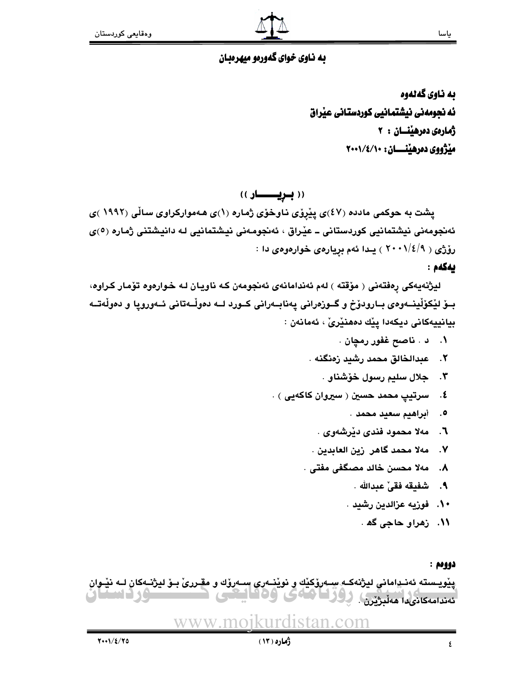## به ناوي خواي گهورهو ميهرهبان

به ناوي گهڻهوه ئه نجومەنى نيشتمانيى كوردستانى عيراق ژمارەي دەرھيىسان : ٢ مێڗٛۅوي دەرھێنسسان: ٢٠٠١/٤/١٠٠

((بريسطر))

پشت به حوکمی مادده (٤٧)ی پێروی ناوخوّی ژماره (١)ی هـهموارکراوی سالّی (١٩٩٢ )ی ئەنجومەنى نيشتمانيى كوردستانى ــ عيْراق ، ئەنجومەنى نيشتمانيى لـه دانيشتنى ژمارە (٥)ى رۆژى ( ٢٠٠١/٤/٩ ) يىدا ئەم بريارەي خوارەوەي دا :

ىەكەم :

لیژنهیهکی رهفتهنی ( مۆقته ) لهم ئەندامانەی ئەنجومەن کـه ناویـان لـه خـوارەوه تۆمار کـراوه، بــۆ لێکۆڵینــهوەی بــارودۆخ و گــوزەرانى يەنابــەرانى كــورد لــه دەوڵـەتانى ئــەوروپا و دەوڵەتــە بيانييەكانى ديكەدا پێك دەھنێرێٚ ، ئەمانەن :

- ۰۱ د . ناصح غفور رمچان .
- ۲. عبدالخالق محمد رشيد زەنگنه .
	- ۴. جلال سليم رسول خۆشناو .
- ٤. مسرتيپ محمد حسين ( سيروان کاکهيي ) .
	- ٥. ﴿ أَبِراهِيمِ سَعِيدِ مَحمدٍ .
	- ٦. مەلا محمود فندى دێرشەوى .
	- ٧. مەلا محمد گاهر زين العابدين .
	- ٨. مەلا محسن خالد مصگفى مفتى .
		- ٩. شفيقه فقي ْ عبدالله .
		- ۰۱۰ . فوزيه عزالدين رشيد .
			- ۱۱. زهراو حاجي گھ .

### دووهم :

يِيْوِيسته ئەنـڍامانى ليژنەكـه سِـهرۆكێك و نوێنـهرى سـهرۆك و مقـررى بـوْ ليژنـهكان لـه نێـوان ئەندامەكانىدا ھەلبژىن. پۇر 1 ئامائ ME SC <u>Taca</u>

#### www.moikuro an com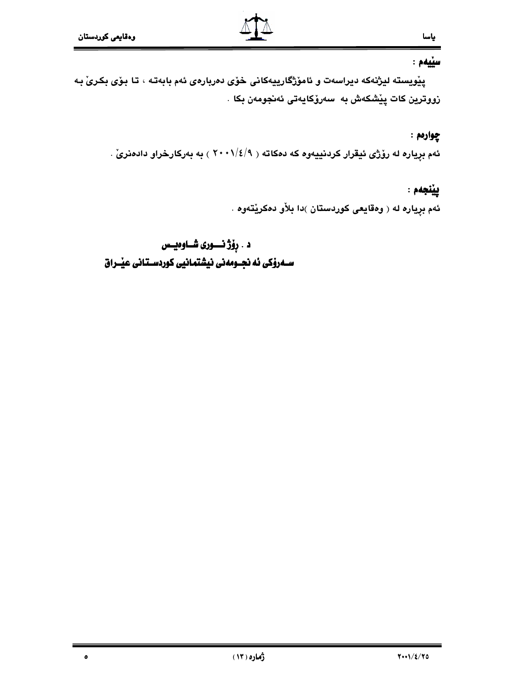$\bullet$ 

## سنيهم :

پیْویسته لیژنهکه دیراسهت و ئاموْژگارییهکانی خوْی دەربارەی ئەم بابەتـه ، تـا بـوّی بکـریّ بـه زووترين كات يێشكەش بە سەرۆكايەتى ئەنجومەن بكا .

## چوارمم :

ئهم بړياره له رۆژى ئيقرار كردنييهوه كه دمكاته ( ٢٠٠١/٤/٩ ) به بهركارخراو دادمنرىّ .

## ييْنجەم :

ئهم بړياره له ( وهقايعى كوردستان )دا بلاْو دمكريْتهوه .

## د . رِوْژ نــــوری شـــاوهیــس ســــهرۆکی ئه نجـــومەنی نیشتمــانیی کوردســتـانی عیــْــراق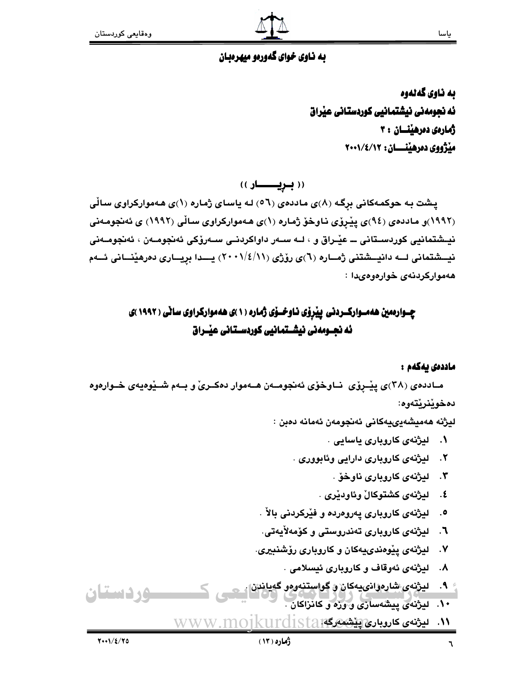#### ياسا

## به ناوي خواي گهورهو ميهرهبان

به ناوي گهلهوه ئه نجومەنى نيشتمانيى كوردستانى عيْراق ژمارەي دەرھىنسان : ۳ مێژووي دەرھێنــــان: ٢٠٠١/٤/١٢

(( بویسسسار ))

پشت به حوکمهکانی برگه (۸)ی ماددهی (٥٦) له یاسای ژماره (۱)ی ههموارکراوی سالّی (١٩٩٢)و ماددەي (٩٤)ى پێرۆي ناوخۆ ژمارە (١)ى ھەمواركراوي ساڵى (١٩٩٢) ي ئەنجومەنى نيــشتمانيي کوردســتاني ـــ عيّــراق و ، لــه ســهر داواکردنــي ســهروّکي ئهنجومــهن ، ئهنجومــهني نیسشتمانی لـــه دانیسشتنی ژمـــاره (٦)ی روّژی (١١/٤/١١) پــــدا بریـــاری دەرھینـــانی ئـــهم ههموارکردنهی خوارهوهیدا :

## چــوارهمین ههمــوارکــردنی پیبروی نـاوخــوی ژماره (۱)ی ههموارکراوی سانی ( ۱۹۹۲)ی ئه نجــومەنى نيشــتمانيى كوردســتانى عيــْـراق

### ماددەى بەكەم :

مـاددهی (۳۸)ی پیْـرِوْی ۖ نــاوخوْی ئەنجومــەن هــەموار دەكــریْ و بــەم شــیْوەیەی خــوارەوە دەخوێنرێتەوە:

ليژنه هەميشەيىيەكانى ئەنجومەن ئەمانە دەبن :

- ۱. لیژنهی کاروباری یاسایی .
- ٢. ليژنهي کاروباري دارايي وئابووري .
	- ۴. ليژنهي کاروباري ناوخۆ .
	- ٤. \_ ليژنهي كشتوكالْ وئاودێري .
- ۰. ليژنهي کاروباري پهروهرده و فيْرکردني بالأ
- ٦. ليژنهي کاروباري تەندروستي و کۆمەلأيەتي.
- ۷. لیژنهی ییوهندییهکان و کاروباری رؤشنبیری.
	- ۸. ليژنهي ئەوقاف و كاروبارى ئيسلامى .
- <sup>،</sup> ۹. ليژنەي شارەۋانىيەكان و گواستنەوەو گەياندن| **De Giovanni (1988)** ۱۰. لیژنهی پیشهسازی و وژه و کانزاکان .
	- <mark>\\. ليژنەي كاروبارى[پێشىنەرگە:<code>kurdistan</code></mark> WWW.MO1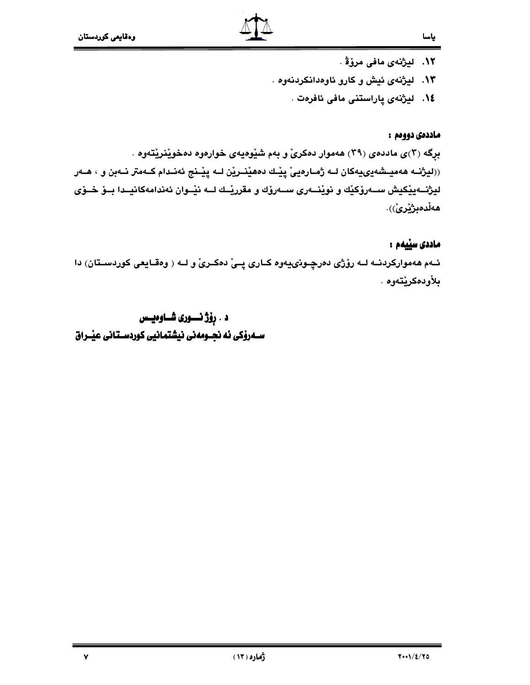- ۰۱۲ ليژنهي مافي مرؤﭬ . ۱۳. لیژنهی ئیش و کارو ئاوهدانکردنهوه .
	- ١٤.۔ ليژنەي پاراستنى مافى ئافرەت .

### ماددەى دووەم :

بړگه (۲)ی ماددهی (۲۹) ههموار دهکری و بهم شیوهیهی خوارهوه دهخوینریتهوه . ((ليژنــه هەميــشەيى4ىهكان لــه ژمــارەييّ پێــك دەھێنــرێن لــه پێــنج ئەنــدام كــهمتر نــەبن و ، هــەر ليژنـــهيێکيش ســـهرۆکێك و نوێنـــهری ســـهرۆك و مقررێــك لـــه نێــوان ئهندامهکانيــدا بــۆ خــۆی هەڵدەبژێرێٛ).

## ماددی سڀيمم :

ئـهم ههموارکردنـه لـه رۆژى دەرچـونىيەوه کـارى پـىْ دەکـرىْ و لــه ( وەقـايعى کوردسـتان) دا بلأودەكرێتەوە .

د . رِوْژْ نَــــوری شــاوەيــس  ياسا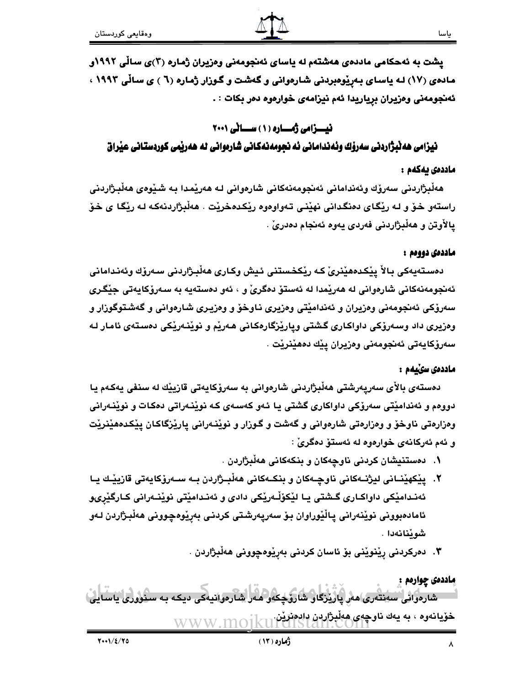پشت به ئهحکامی ماددهی ههشتهم له یاسای ئهنجومهنی وهزیران ژماره (۳)ی سالّی ۱۹۹۲و مادهی (۱۷) لـه یاسـای بـهرِیْوهبردنی شـارهوانی و گـهشت و گـوزار ژمـاره (٦ ) ی سـالّی ۱۹۹۲ ، ئەنجومەنى وەزيران بړياريدا ئەم نيزامەى خوارەوە دەر بكات : .

## نیسزامی ژمساره (۱) سسانی ۲۰۰۱

نیزامی هەنبژاردنی سەرۆك وئەندامانی ئە نجومەنەكانی شارەوانی لە ھەرپمی كوردستانی عیراق

## ماددەى يەكەم :

هەڵبژاردنى سەرۆك وئەندامانى ئەنجومەنەكانى شارەوانى لـە ھەرێمدا بـە شىێوەي ھەڵبرژاردنى راستهو خـوّ و لـه ريْگـاي دەنگـدانـي نهيْنـي تـهواوەوه ريْكـدەخريْت . هەڵبژاردنهكـه لـه ريْگـا ي خـوّ يالأوتن و هەڵبژاردنى فەردى يەوە ئەنجام دەدرىّ .

## ماددەى دووەم :

دەستەيەكى بالاْ يێكدەھێنرىٰ كـﻪ رێكخستنى ئيش وكـارى ھەڵبىژاردنى سـەرۆك وئەندامانى ئەنجومەنەكانى شارەوانى لە ھەريمدا لە ئەستۆ دەگرىّ و ، ئەو دەستەيە بە سەرۆكايەتى جيْگرى سەرۆكى ئەنجومەنى وەزيران و ئەندامێتى وەزيرى ناوخۆ و وەزيرى شارەوانى و گەشتوگوزار و وەزيرى داد وسەرۆكى داواكارى گشتى ويارێزگارەكانى ھەرێم و نوێنەرێكى دەستەى ئامار لە سەرۆكايەتى ئەنجومەنى وەزيران يێك دەھێنرێت .

## ماددەى سىلمم :

دەستەي بالأي سەريەرشتى ھەڵبژاردنى شارەوانى بە سەرۆكايەتى قازيێك لە سنفى يەكەم يا دووهم و ئەندامێتى سەرۆكى داواكارى گشتى يا ئەو كەسەي كە نوێنەراتى دەكات و نوێنەرانى وهزارهتي ناوخوٌ و وهزارهتي شارهواني و گهشت و گـوزار و نوێنـهراني پارێزگاکـان پێکـدههێنرێت و ئهم ئەركانەي خوارەوە لە ئەستۆ دەگرىٰ :

- ۰. دەستنيشان كردني ناوچەكان و بنكەكانى ھەلْبژاردن .
- ٢. يێكهێنــانى ليژنــهكانى ناوڃـهكان و بنكــهكانى هەڵبــژاردن بــه ســەرۆكايەتى قازيێـك يــا ئەنـدامێِکی داواکـاری گـشتی یـا لێکۆڵـەرێکی دادی و ئەنـدامێتی نوێنـەرانی کـارگێریو ئامادەبوونى نوپْنەرانى يالْيْوراوان بۆ سەريەرشتى كردنى بەرپْوەچوونى ھەلْبِژاردن لەو شوێنانەدا .
	- ۴. دەركردنى رێنوێنى بۆ ئاسان كردنى بەرێوەچوونى ھەڵبژاردن .

ماددهۍ چواردم : شارەوانى سەنتەرى مەر يارىزگار شارزىكەر مەر شارەرانىيەكى دىكە بە سىزورى ناسا، خۆيانەوه ، به يەك ناوچەي ھەلْبِژاردن دادەنزِيْن.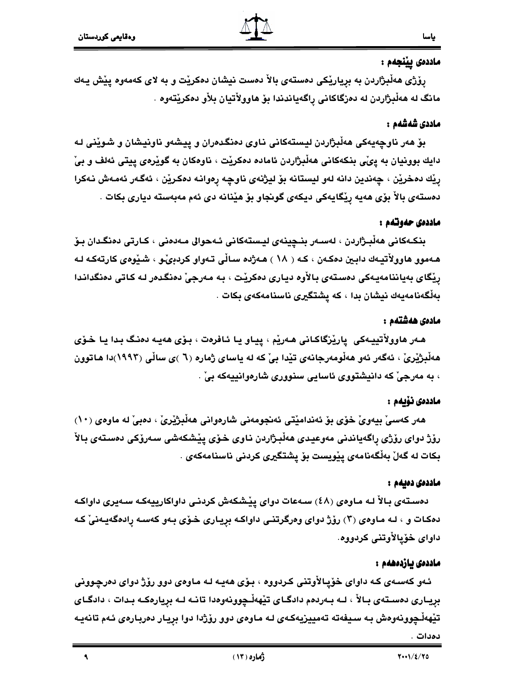## ماددەى يېنجەم :

ياسا

رۆژى ھەڵبژاردن بە برياريْكى دەستەي بالأ دەست نيشان دەكريْت و بە لاي كەمەوە يێش يـەك مانگ له ههڵبژاردن له دهزگاکانی راگهیاندندا بۆ هاوولأتيان بلأو دهکريٽتهوه .

### ماددى شەشەم :

بۆ هەر ناوچەيەكى ھەڵبژاردن ليستەكانى ناوي دەنگدەران و پيشەو ناونيشان و شوێنى لـە دايك بوونيان به پيِّي بنكهكاني هەڵبژاردن ئاماده دەكريْت ، ناوەكان به گويْرەي ييتى ئەلف و بيِّ رِيْك دەخريْن ، چەندين دانە لەو ليستانە بۆ ليژنەي ناوچە رەوانـە دەكريْن ، ئەگـەر ئەمـەش نـەكرا دەستەي بالاْ بۆي ھەيە ڕێگايەكى ديكەي گونجاو بۆ ھێنانە دى ئەم مەبەستە ديارى بكات .

### ماددەي حەوتەم :

بنكـﻪﻛﺎﻧﻰ ﻫﻪڵبـژاردن ، ﻟﻪﺳـﻪر ﺑﻨـﭽﻴﻨﻪى ﻟﻴـﺴﺘﻪﻛﺎﻧﻰ ﺋـﻪﺣﻮﺍﻝ ﻣـﻪﺩﻩﻧﻰ ، ﻛـﺎرﺗﻰ ﺩﻩﻧﮕـﺪﺍﻥ ﺑـﯚ هـهموو هاوولأتيـهك دابـين دهكـهن ، كـه ( ١٨ ) هـهژده سـالّي تـهواو كردبويّـو ، شـيوهي كارتهكـه لـه رِيْكَاي بەياننامەيەكى دەستەي بالأوه ديارى دەكريْت ، بە مەرجىْ دەنگدەر لە كاتى دەنگداندا بەلْگەنامەيەك نيشان بدا ، كە يشتگيرى ناسنامەكەي بكات .

### مادەى ھەشتەم :

هـهر هاوولاٌتييـهكي ِ ياريْزگاكـاني هـهريْم ، پيـاو يـا ئـافرەت ، بـۆي هەيـه دەنـگ بـدا يـا خـۆي هەڵبژێرێ ، ئەگەر ئەو ھەڵومەرجانەي تێدا بیٚ کە لە ياسای ژمارە (٦ )ی ساڵی (١٩٩٢)دا ھاتوون ، به مەرجىٰ كە دانيشتووى ئاسايى سنوورى شارەوانييەكە بىٰ .

## ماددەى ئۆيەم :

هەر كەسى بيەوى خۆي بۆ ئەنداميتى ئەنجومەنى شارەوانى ھەلْبِژْيْرىْ ، دەبىْ لە ماوەي (١٠) رۆژ دواي رۆژي پاگەياندنى مەوعيدى ھەلْبژاردن ناوي خۆي پێشكەشى سەرۆكى دەستەي بالأ بكات لە گەلْ بەلْگەنامەي يێويست بۆ يشتگيرى كردنى ناسنامەكەي .

### ماددەى دەبەم :

دەستەي بالأ لـه مـاوەي (٤٨) سـەعات دواي يێشكەش كردنـى داواكارييەكـه سـەيرى داواكـه دهکات و ، لـه مـاوهى (٢) رؤژ دواى وهرگرتنـى داواكـه بريـارى خـوّى بـهو كـهسـه رادهگهيـهنىٰ كـه داواي خۆيالأوتنى كردووه.

### ماددەى يازدەھەم :

ئـهو كهسـهى كـه داواى څۆپـالأوتنى كـردووه ، بـۆى هەيـه لـه مـاوەى دوو رۆژ دواى دەرچـوونى بريـاری دهسـتهی بـالأ ، لـه بـهردهم دادگـای تێههڵـچوونهوهدا تانـه لـه برِيارهكـه بـدات ، دادگـای تێهەڵـڃوونەوەش بـه سـيفەتە تەمييزيەكـەي لـه مـاوەي دوو رۆژدا دوا بريـار دەربـارەي ئـەم تانەيـە دەدات .

 $\blacktriangleleft$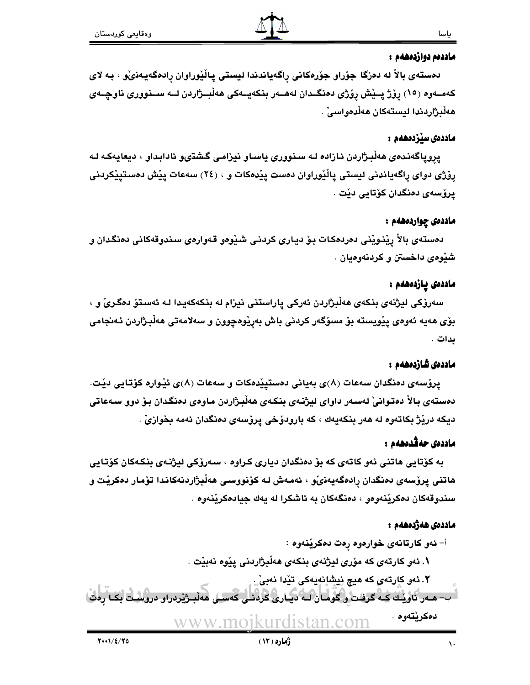### ماددەم دوازدەھەم :

دەستەي بالاْ لە دەزگا جۆراو جۆرەكانى راگەياندندا ليستى پاڵێوراوان رادەگەپەنىْو ، بە لاي کهمــهوه (١٥) رِوْژْ پــيْش رِوْژْي دەنگــدان لههــهر بنکهيــهکي هەڵبــژاردن لــه ســنووري ناوچــهي هەڵبژاردندا ليستەكان ھەڵدەواسى ْ .

### ماددەى سێزدەھەم :

يروياگەندەي ھەڵبىژاردن ئازادە لـه سىنوورى ياسـاو نيزامـى گىشتىو ئادابىداو ، ديعايەكـه لـه پۆژی دوای راگەياندنی ليستی پاڵێوراوان دەست پێدەكات و ، (٢٤) سەعات پێش دەستيێكردنی يرۆسەي دەنگدان كۆتايى دێت .

### ماددەى چواردەھەم :

دەستەي بالاْ رِيْنىويْنى دەردەكات بىۆ ديارى كردنى شىيْوەو قەوارەي سىندوقەكانى دەنگدان و شيوهي داخستن و كردنهوهيان .

### ماددەى يازدەھەم :

سەرۆكى ليژنەي بنكەي ھەڵبژاردن ئەركى پاراستنى نيزام لە بنكەكەيدا لـە ئەستۆ دەگرىْ و ، بۆی هەيە ئەوەي پێويستە بۆ مسۆگەر كردنى باش بەڕێوەچوون و سەلامەتى ھەڵبژاردن ئەنجامى ىدات .

### ماددەى شازدەھەم :

يروْسهي دەنگدان سەعات (٨)ي بەيانى دەستيپْدەكات و سەعات (٨)ي ئێوارە كۆتايى دێت. دەستەي بالاْ دەتوانىْ لەسەر داواي ليژنەي بنكەي ھەلْبژاردن ماوەي دەنگدان بۆ دوو سەعاتى ديكه دريْژْ بكاتەوه له هەر بنكەيەك ، كە بارودۆخى يرۆسەي دەنگدان ئەمە بخوازىْ .

## ماددەى جەڤدەھەم :

به کۆتايى ھاتنى ئەو كاتەي كە بۆ دەنگدان ديارى كراوە ، سەرۆكى ليژنـەي بنكـەكان كۆتـايى هاتنى يرۆسەي دەنگدان رادەگەيەنىْي ، ئەمەش لـە كۆنووسـى ھەڵبژاردنەكاندا تۆمار دەكريْت و سندوقەكان دەكريندەوەو ، دەنگەكان بە ئاشكرا لە يەك جيادەكريندەوە .

### ماددەى ھەژدەھەم :

أ- ئەو كارتانەي خوارەوە رەت دەكريْنەوە :

١. ئەو كارتەي كە مۆرى ليژنەي بنكەي ھەڵبژاردنى يێوە نەبێت .

۲. ئەو كارتەي كە ھيچ نيشانەيەكى تێدا نەبىّ.. - ب- هـهر ناويـك كـه گرفت و گومـان لـه ديـاري كردنـي كهسـي ههڵبـژيردراو دروسـت بكـا دەكريتەوە . www.moikurdistan.com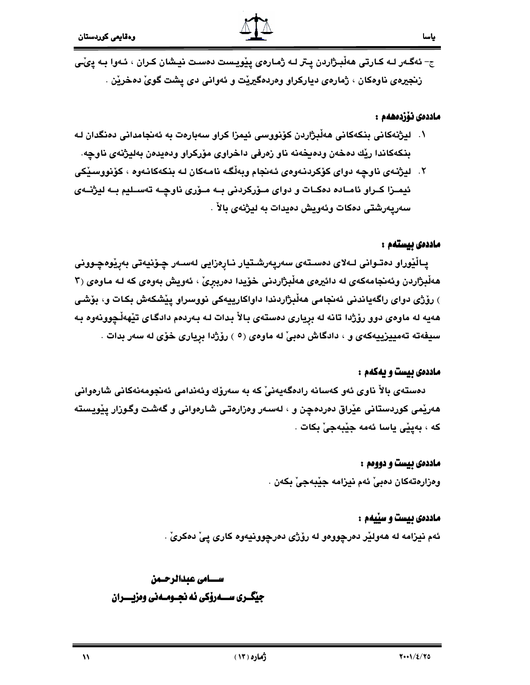

ج- ئەگـەر لــه كـارتى ھەڵبـژاردن يـتر لــه ژمـارەي يێويـست دەسـت نيـشان كـران ، ئــهوا بــه يىْـى زنجيرەي ناوەكان ، ژمارەي دياركراو وەردەگيريْت و ئەوانى دى يشت گويْ دەخريْن .

### ماددەى ئۆزدەھەم :

- ١. ليژنهكاني بنكهكاني هەڵبژاردن كۆنووسى ئيمزا كراو سەبارەت بە ئەنجامدانى دەنگدان لـه بنكهكاندا ريّك دهخهن ودهيخهنه ناو زهرفي داخراوي مۆركراو ودهيدمن بهليژنهي ناوچه.
- ۲. ليژنـهي ناوچـه دواي كۆكردنـهوهي ئـهنجام وبِهلْگـه نامـهكان لـه بنكهكانـهوه ، كۆنووسـێكي ئیمـزا کـراو ئامـاده دهکـات و دوای مـۆرکردنی بـه مـۆری ناوچـه تهسـلیم بـه لیژنــهی سەريەرشتى دەكات وئەويش دەيدات بە ليژنەي بالأ .

#### ماددەى بيستەم :

يـالْيْوراو دەتـوانى لـﻪلاى دەسـتەي سەريەرشـتيار نـارەزايى لەسـەر چـۆنيەتى بەرپْوەچـوونى هەلْبِرْاردن وئەنجامەكەي لە دائيرەي ھەلْبِرْاردنى خۆيدا دەربېرىْ ، ئەويش بەوەي كە لـە مـاوەي (٣ ) رۆژى دواي راگەياندنى ئەنجامى ھەلْبژاردندا داواكارييەكى نووسراو يێشكەش بكات و، بۆشى ههیه له ماوهی دوو رۆژدا تانه له بریاری دهستهی بالأ بدات لـه بـهردهم دادگـای تێههڵـچوونـهوه بـه سیفهته تهمییزییهکهی و ، دادگاش دهبیْ له ماوهی (٥ ) روّژدا بریاری خوّی له سهر بدات .

### ماددهی بیست و یهکهم :

دەستەي بالاْ ناوي ئەو كەسانە رادەگەيەنىْ كە بە سەرۆك وئەندامى ئەنجومەنەكانى شارەوانى هەريْمي كوردستاني عيْراق دەردەچن و ، لەسەر وەزارەتى شارەوانى و گەشت وگوزار يِيْويستە كه ، بەييى ياسا ئەمە جێبەجىٚ بكات .

### ماددهی بیست و دوومم :

وهزارهتهكان دهبيِّ ئهم نيزامه جيِّبهجيِّ بكهن .

### ماددهی بیست و سپیهم :

ئهم نيزامه له هەولێر دەرچووەو له رۆژى دەرچوونيەوە كارى يىْ دەكرىْ .

## سسسامى عيدالرحسمن جيگـري ســـهروکي نه نجــومــهني وهزيــــران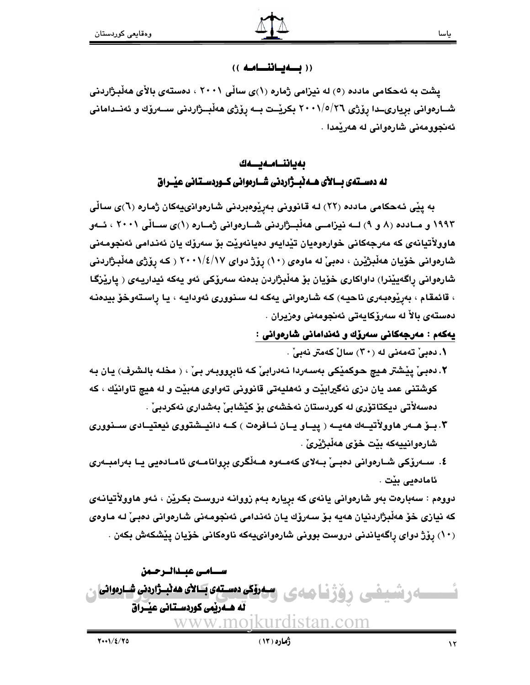## ((به يساننسامه))

یشت به ئهحکامی مادده (٥) له نیزامی ژماره (١)ی سالْی ۲۰۰۱ ، دهستهی بالأی ههلْبِژاردنی شــارەوانى بريارىــدا رۆژى ٢٠٠١/٥/٢٦ بكريْــت بــه رۆژى هەڵبــژاردنى ســەرۆك و ئەنــدامانى ئەنجوومەنى شارەوانى لە ھەرپْمدا .

> بەياننــامـەيـــەك له دمستهی بسالای هسه نبسژاردنی شسارموانی کسوردسستانی عیبراق

به پێی ئهحکامی مادده (۲۲) له قانوونی بهرِیْوهبردنی شارهواذییهکان ژماره (٦)ی سالّی ۱۹۹۳ و مـادده (۸ و ۹) لــه نیزامــی هەڵبــژاردنی شــارەوانی ژمــاره (۱)ی ســالّی ۲۰۰۱ ، ئــەو هاوولاُتيانەي كە مەرجەكانى خوارەوەيان تێدايەو دەيانەوێت بۆ سەرۆك يان ئەندامى ئەنجومەنى شارهوانی خۆیان هەڵبژێرن ، دەبیْ له ماوەی (۱۰) رۆژ دوای ۲۰۰۱/٤/۱۷ ( کـه رۆژی هەڵبـژاردنی شارەوانى راگەيێنرا) داواكارى خۆيان بۆ ھەڵبژاردن بدەنە سەرۆكى ئەو يەكە ئيداريـەى ( يارێزگـا ، قائمقام ، بەرێوەبەرى ناحيە) كە شارەوانى يەكە لە سنوورى ئەودايە ، يا راستەوخۆ بيدەنـە دەستەي بالاً لە سەرۆكابەتى ئەنجومەنى وەزېران .

يەكەم : مەرجەكانى سەرۆك و ئەندامانى شارەوانى :

۱. دەبى تەمەنى لە (۳۰) سالْ كەمتر نەبىْ .

- ٢. دەبىّ ييْشتر ھيچ حوكميْكى بەسەردا نـﻪدرابىّ كـﻪ ئابرووبـﻪر بـيّ ، ﴿ مخلـﻪ بالـشرف) يان بـﻪ کوشتنی عمد یان دزی نهگیرابیْت و ئههلیهتی قانوونی تهواوی ههبیْت و له هیچ تاوانیْك ، كه دەسەلاتى ديكتاتۆرى لە كوردستان نەخشەي بۆ كێشابى بەشدارى نەكردبى .
- ۳. بــوّ هــهر هاوولأتيــهك ههيــه ( ييــاو يــان ئــافرهت ) كــه دانيــشتووي ئيعتيــادي ســنووري شارەوانييەكە بێت خۆي ھەڵبژێرێ .
- ٤. ســەرۆكى شــارەوانى دەبــىْ بــەلاى كەمــەوە ھــەڵگرى بروانامــەى ئامـادەيى يــا بەرامبــەرى ئامادەيى بێت .

دوومم : سەبارەت بەو شارەوانى يانەي كە بريارە بەم زووانـه دروست بكرێن ، ئـەو ھاوولأتيانـەي که نيازي خۆ هەلبژاردنيان هەيە بۆ سەرۆك يان ئەندامى ئەنجومەنى شارەوانى دەبى لـه ماوەي (۱۰) رۆژ دواي راگەياندنى دروست بوونى شارەوانىيەكە ناوەكانى خۆيان يێشكەش بكەن .

سسنامس عبسدالبرجيمن سمروکی دہستہی بــالأی هەنبــژاردنی شــارہوانی ەرشىمى له هــهریمی کوردسـتانی عیــَـراق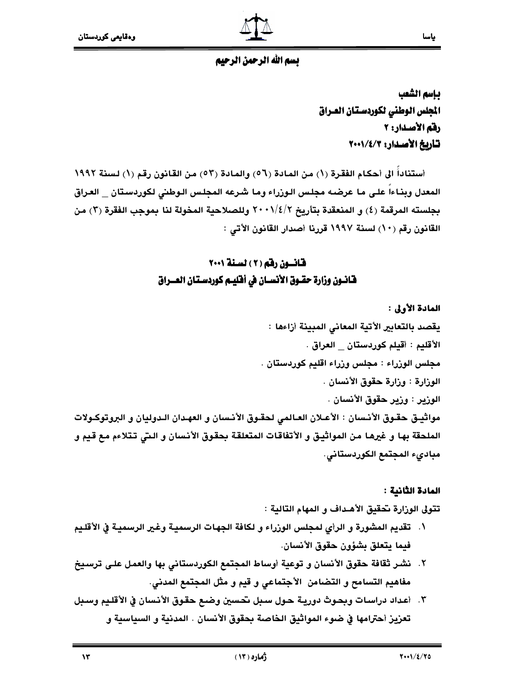## بسم الله الرحمن الرحيم

بإسم الشعب المجلس الوطني لكوردستان العراق رفم الأصدار: ٢ تأربخ الأصدار: ٢٠٠١/٤/٢٠٠

أستناداً الى أحكام الفقرة (١) من المادة (٥٦) والمادة (٥٣) من القانون رقم (١) لسنة ١٩٩٢ المعدل وبذاءاً على ما عرضه مجلس الوزراء وما شرعه المجلس الوطني لكوردستان العراق بجلسته المرقمة (٤) و المنعقدة بتأريخ ٢/٤/٢ وللصلاحية المخولة لنا بموجب الفقرة (٣) من القانون رقم (١٠) لسنة ١٩٩٧ قررنا أصدار القانون الأتي :

## قانسون رقم (٢) لسنة ٢٠٠١ فـَّانــون وزارة حقــوق الأنـســان في أفـّليــم كـوردسـتـان الـعـــراق

المادة الأولى : يقصد بالتعابير الأتية المعاني المبينة أزاءها ∶ الأقليم : أقيلم كوردستان العراق . مجلس الوزراء : مجلس وزراء اقليم كوردستان . الوزارة : وزارة حقوق الأنسان . الوزير : وزير حقوق الأنسان . مواثييق حقـوق الأنـسان : الأعـلان العـالمي لحقـوق الأنـسان و العهـدان الـدوليان و البروتوكـولات الملحقة بها و غيرها من المواثيق و الأتفاقات المتعلقة بحقوق الأنسان و التي تتلاءم مع قيم و مبادىء المجتمع الكوردستاني.

### المادة الثانية :

تتولى الوزارة تحقيق الأهـداف و المهام التالية :

- ١. تقديم المشورة و الرأي لمجلس الوزراء و لكافة الجهات الرسمية وغير الرسمية في الأقليم فيما يتعلق بشؤون حقوق الأنسان.
- ٢. نشر ثقافة حقوق الأنسان و توعية أوساط المجتمع الكوردستاني بها والعمل على ترسيخ مفاهيم التسامح و التضامن الأجتماعي و قيم و مثل المجتمع المدني.
- ٣. أعداد دراسات وبحوث دورية حول سبل تحسين وضع حقوق الأنسان في الأقليم وسبل تعزيز أحترامها في ضوء المواثيق الخاصة بحقوق الأنسان . المدنية و السياسية و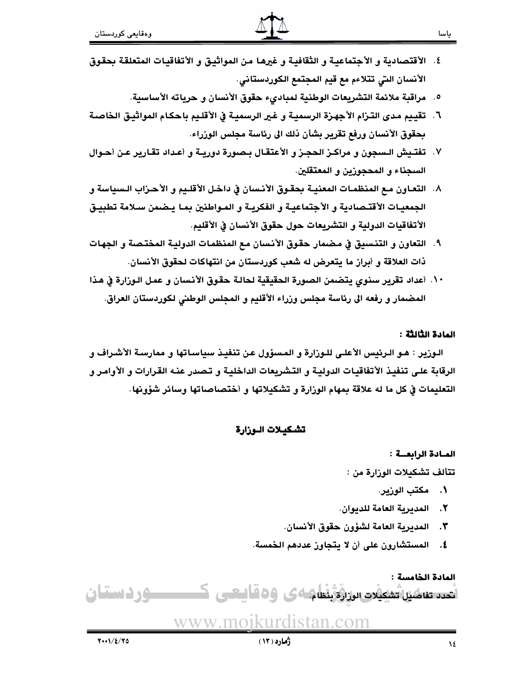- ٤. الأقتصادية و الأجتماعية و الثقافية و غيرها من المواثبيق و الأتفاقيات المتعلقة بحقوق الأنسان التي تتلاءم مع قيم المجتمع الكوردستاني.
	- ٥. مراقبة ملائمة التشريعات الوطنية لمباديء حقوق الأنسان و حرياته الأساسية.
- ٦. تقييم مدى التـزام الأجهـزة الرسمية و غير الرسمية في الأقلـيم باحكـام المواثيـق الخاصـة بحقوق الأنسان ورفع تقرير بشأن ذلك الى رئاسة مجلس الوزراء.
- ٧. تفتـيش الـسجون و مراكـز الحجـز و الأعتقـال بـصورة دوريــة و أعـداد تقـارير عـن أحـوال السجناء و المحجوزين و المعتقلين.
- ٨. التعـاون مـع المنظمـات المعنيـة بحقـوق الأنـسان في داخـل الأقلـيم و الأحـزاب الـسياسة و الجمعيـات الأقتـصادية و الأجتماعيـة و الفكريـة و المـواطنين بمـا يـضمن سـلامة تطبيـق الأتفاقيات الدولية و التشريعات حول حقوق الأنسان في الأقليم.
- ٩. التعاون و التنسيق في مضمار حقوق الأنسان مع المنظمات الدولية المختصة و الجهات ذات العلاقة و أبراز ما يتعرض له شعب كوردستان من انتهاكات لحقوق الأنسان.
- ١٠. أعداد تقرير سنوى يتضمن الصورة الحقيقية لحالة حقوق الأنسان و عمل الـوزارة في هذا المضمار و رفعه الى رئاسة مجلس وزراء الأقليم و المجلس الوطني لكوردستان العراق.

#### المادة الثالثة :

الـوزير : هـو الـرئيس الأعلـي للـوزارة و المـسؤول عـن تنفيـذ سياسـاتها و ممارسـة الأشـراف و الرقابة على تنفيذ الأتفاقيات الدولية و التشريعات الداخلية و تـصدر عنـه القرارات و الأوامـر و التعليمات في كل ما له علاقة بمهام الوزارة و تشكيلاتها و أختصاصاتها وسائر شؤونها.

تشكيلات الوزارة

### المادة الرابعة :

تتألف تشكيلات الوزارة من :

- ١. مكتب الوزير.
- ٢. المديرية العامة للديوان.
- ٣. المديرية العامة لشؤون حقوق الأنسان.
- ٤. المستشارون على أن لا يتجاوز عددهم الخمسة.

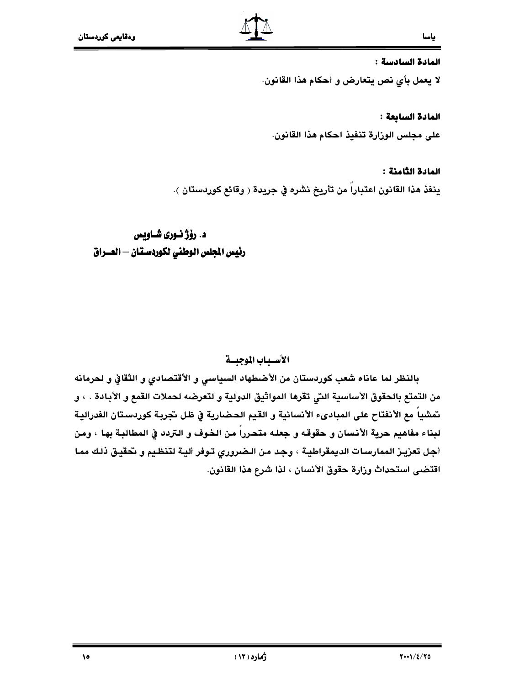#### المادة السادسة :

لا يعمل بأي نص يتعارض و أحكام هذا القانون.

#### المادة السابعة :

على مجلس الوزارة تنفيذ احكام هذا القانون.

### المادة الثامنة :

ينفذ هذا القانون اعتباراً من تأريخ نشره في جريدة ( وقائع كوردستان ).

## د. رۆژ نـورى شـاويس رئيس الجلس الوطني لكوردستان – العــراق

## الأسباب الموجبسة

بالنظر لما عاناه شعب كوردستان من الأضطهاد السياسي و الأقتصادي و الثقافي و لحرمانه من التمتع بالحقوق الأساسية التي تقرها المواثيق الدولية و لتعرضه لحملات القمع و الأبادة . ، و تمشياً مع الأنفتاح على المبادىء الأنسانية و القيم الحضارية في ظل تجربة كوردستان الفدرالية لبناء مفاهيم حرية الأنسان و حقوقه و جعله متحرراً من الخوف و التردد في المطالبة بها ، ومن أجل تعزيـز الممارسـات الديمقراطيـة ، وجد مـن الـضرورى تـوفر أليـة لتنظـيم و تحقيـق ذلـك ممـا اقتضى استحداث وزارة حقوق الأنسان ، لذا شرع هذا القانون.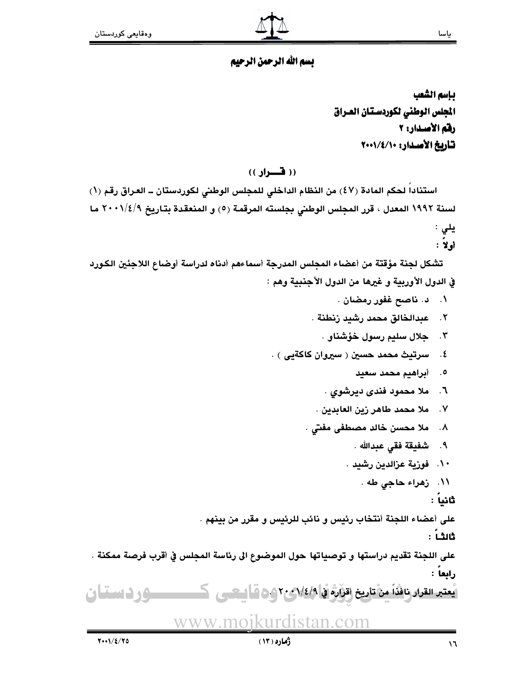## بسم الله الرحمن الرحيم

بإسم الشعب المجلس الوطني لكوردستان العراق رفم الأصدار: ٢ تأريخ الأصدار: ١٠٠١/٤/١٠٠

## (( فسواد ))

استناداً لحكم المادة (٤٧) من النظام الداخلي للمجلس الوطني لكوردستان ــ العراق رقم (١) لسنة ١٩٩٢ المعدل ، قرر المجلس الوطني بجلسته المرقمة (٥) و المنعقدة بتاريخ ٢٠٠١/٤/٩ ما يلى :

# أولاً :

تشكل لجنة مؤقتة من أعضاء المجلس المدرجة أسماءهم أدناه لدراسة أوضاع اللاجئين الكورد في الدول الأوربية و غيرها من الدول الأجنبية وهم :

- ۰۱ د. ناصح غفور رمضان .
- ٢. عبدالخالق محمد رشيد رنطنة .
	- ۴. حلال سليم رسول خؤشناو .
- ٤. سرتيث محمد حسين ( سيروان كاكةيي ) .
	- ٥. أبراهيم محمد سعيد
	- ٦. ملا محمود فندي ديرشوي .
	- ٧. ملا محمد طاهر زين العابدين .
	- ٨. ملا محسن خالد مصطفى مفتى .
		- ٩. شفيقة فقى عبدالله .
		- ١٠. فوزية عزالدين رشيد .
			- ۱۱. زهراء حاجي طه .

ثانياً :

على أعضاء اللجنة أنتخاب رئيس و نائب للرئيس و مقرر من بينهم .

ثالثـاً :

على اللجنة تقديم دراستها و توصياتها حول الموضوع الى رئاسة المجلس في أقرب فرصة ممكنة . رابعا :

يُعتبر القرار نافذاً مِنْ تاريخ اقرَارَهُ في 1⁄2/4ع 7 و 20 آلستس كــــــــــــــــــــــــــــــــــ و ف انسساك

# <u>www.mojkurdistan.com</u>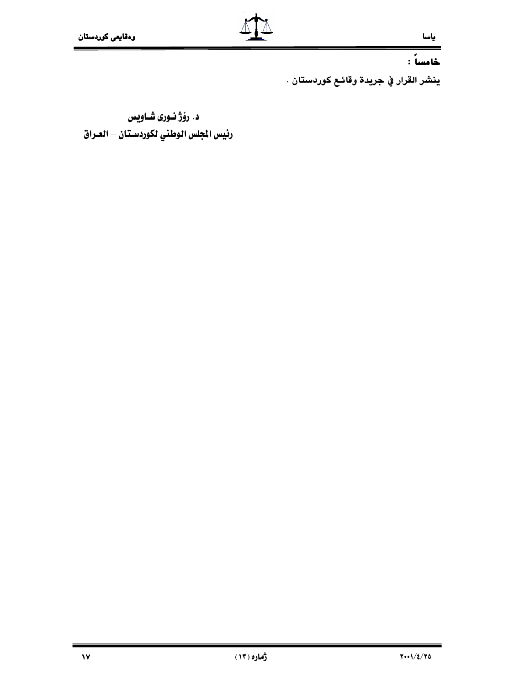### ياسا

## خامساً :

ينشر القرار في جريدة وقائـع كوردستان .

د. رۆژ نورى شـاويس رئيس الجلس الوطني لكوردستان – العراق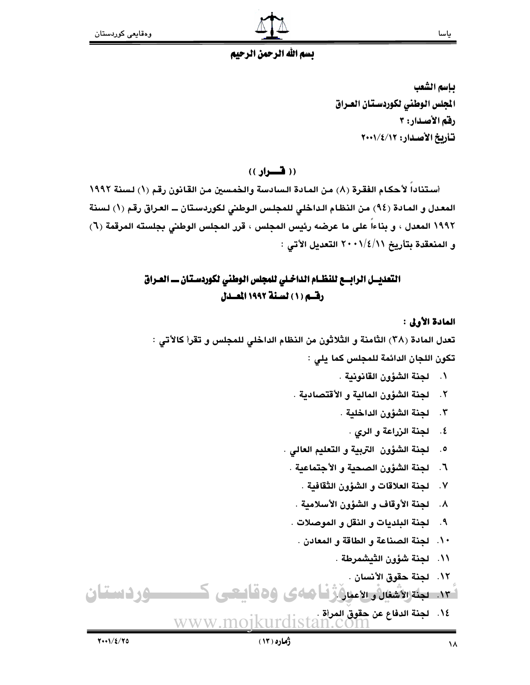

## يسم الله الرحمن الرحيم

بإسم الشعب المجلس الوطنى لكوردستان العراق رقم الأصدار: ٣ تأريخ الأصدار: ٢٠٠١/٤/١٠٢

(( فسواد ))

أستناداً لأحكام الفقرة (٨) من المادة السادسة والخمسين من القانون رقم (١) لسنة ١٩٩٢ المعدل و المادة (٩٤) من النظام الداخلي للمجلس الوطني لكوردستان ــ العراق رقم (١) لسنة ١٩٩٢ المعدل ، و بناءاً على ما عرضه رئيس المجلس ، قرر المجلس الوطني بجلسته المرقمة (٦) و المنعقدة بتأريخ ٢٠٠١/٤/١/ ٢٠٠١ التعديل الأتي :

## التعديسل الرابسع للنظـام الداخـلي للمجلس الوطني لكوردسـتـان ــ العـراق رقسم (١) لسنة ١٩٩٢ المصدل

المادة الأولى :

تعدل المادة (٣٨) الثامنة و الثلاثون من النظام الداخلي للمجلس و تقرأ كالأتي :

تكون اللجان الدائمة للمجلس كما يلي :

- ١. لجنة الشؤون القانونية .
- ٢. لجنة الشؤون المالية و الأقتصادية .
	- ٣. لجنة الشؤون الداخلية .
		- ٤. لجنة الزراعة و الري .
- ٥. لجنة الشؤون التربية و التعليم العالى .
- ٦. لجنة الشؤون الصحية و الأجتماعية .
	- ٧. لجنة العلاقات و الشؤون الثقافية .
	- ٨. لجنة الأوقاف و الشؤون الأسلامية .
- ٩. لجنة البلديات و النقل و الموصلات .
	- ١٠. لجنة الصناعة و الطاقة و المعادن .
		- ١١. لجنة شؤون الثيشمرطة .
			- ١٢. لجنة حقوق الأنسان .
- ئى: بېئترىۋشنان سىمنى ۋارغا ھەي ۋەقايىتىي ك **ــ د دستان** 
	- ١٤. لجنة الدفاع عن حقوق المرأة . www.moiku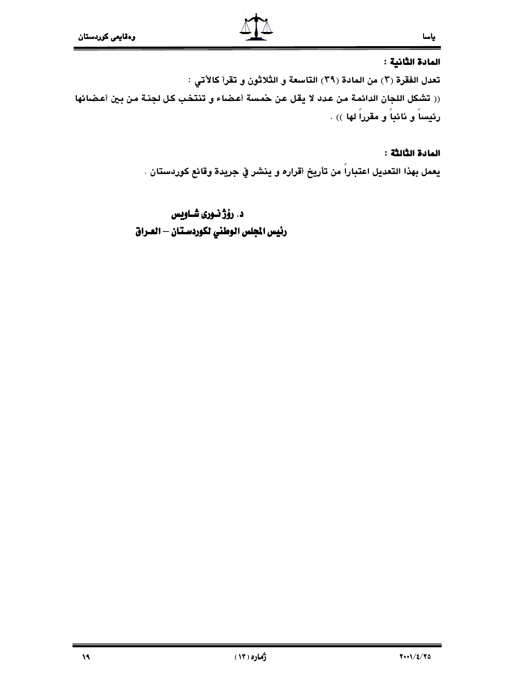### المادة الثانية :

تعدل الفقرة (٣) من المادة (٣٩) التاسعة و الثلاثون و تقرأ كالأتي : (( تشكل اللجان الدائمة من عدد لا يقل عن حمسة أعضاء و تنتخب كل لجنـة من بين أعضائها رئيساً و نائباً و مقرراً لها )) .

### المادة الثالثة :

يعمل بهذا التعديل اعتباراً من تأريخ أقراره و ينشر في جريدة وقائع كوردستان .

د. رۆژ نــورى شــاويس رئيس الجلس الوطني لكوردستان – العـراق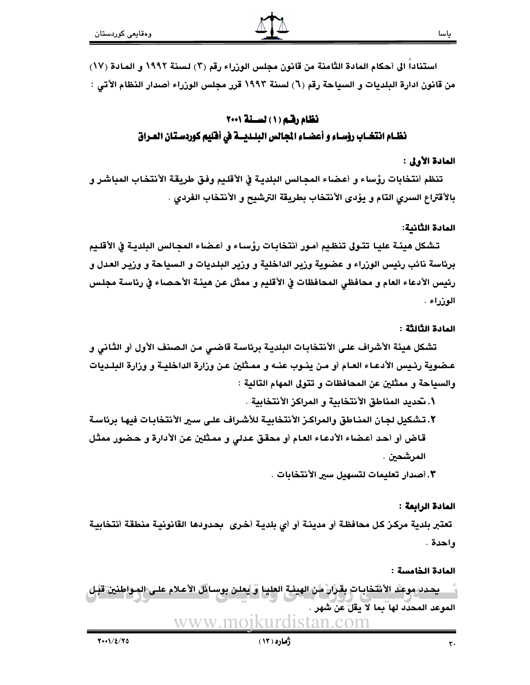## نظام رقبه (١) لسنة ٢٠٠١ نظـام انتخـاب رؤسـاء و أعضـاء المجالس البلـديــة في أفليم كوردسـتان العـراق

### المادة الأولى :

تنظم أنتخابات رؤساء و أعضاء المجالس البلديـة في الأقلـيم وفـق طريقـة الأنتخاب المباشـر و بالأقتراع السرى التام و يؤدى الأنتخاب بطريقة الترشيح و الأنتخاب الفردى .

### المادة الثانية:

تشكل هيئـة عليـا تتـولى تنظـيم أمـور أنتخابـات رؤسـاء و أعـضـاء المجـالس البلديـة في الأقلـيم برئاسة نائب رئيس الوزراء و عضوية وزير الداخلية و وزير البلديات و السياحة و وزيـر العدل و رئيس الأدعاء العام و محافظي المحافظات في الأقليم و ممثل عن هيئـة الأحصـاء في رئاسـة مجلـس الوزراء .

#### المادة الثالثة :

تشكل هيئة الأشراف علـي الأنتخابـات البلدبـة برئاسـة قاضـي من الـصنف الأول أو الثـاني و عـضوية رئـيس الأدعـاء العـام أو مـن ينـوب عنــه و ممـثلين عـن وزارة الداخليـة و وزارة البلـديات والسياحة و ممثلين عن المحافظات و تتولى المهام التالية :

- ١. تحديد المناطق الأنتخابية و المراكز الأنتخابية .
- ٢. تشكيل لجان المناطق والمراكز الأنتخابية للأشراف على سير الأنتخابات فيها برئاسة قاض أو أحد أعضاء الأدعاء العام أو محقق عدلى و ممثلين عن الأدارة و حضور ممثل المرشحين .

٣. أصدار تعليمات لتسهيل سير الأنتخابات .

#### المادة الرابعة :

تعتبر بلدية مركـز كـل محافظـة أو مدينـة أو أي بلديـة أخـري بحـدودها القانونيـة منطقـة أنتخابيـة واحدة .

#### المادة الخامسة :

. يحدد موعد الأنتخابات بقرار من الهيئة العليا و يعلن بوسائل الأعلام على المواطنين قبل الموعد المحدَّد لها بما لا يقلِّ عن شهر . WWW.MO1KUITC listan com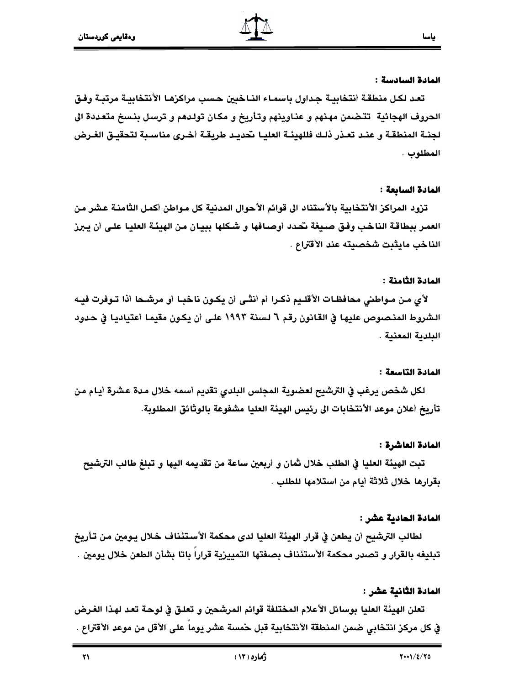#### المادة السادسة :

تعد لكل منطقة أنتخابية جداول باسماء الناخبين حسب مراكزها الأنتخابية مرتبـة وفـق الحروف الهجائية تتضمن مهنهم و عناوينهم وتأريخ و مكان تولدهم و ترسل بنسخ متعددة الى لجنــة المنطقــة و عنــد تعــذر ذلـك فللهيئــة العليــا تحديــد طريقــة أخــرى مناســبة لتحقيــق الغــرض المطلوب .

### المادة السابعة :

تزود المراكز الأنتخابية بالأستناد الى قوائم الأحوال المدنية كل مواطن أكمل الثامنة عشر من العمر ببطاقة الناخب وفق صيغة تحدد أوصافها و شكلها ببيان من الهيئـة العليـا علـى أن يـبرز الناخب مايثبت شخصيته عند الأقتراع .

### المادة الثامنة :

لأي مـن مـواطني محافظـات الأقلـيم ذكـرا أم أنثـى أن يكـون ناخبـا أو مرشـحا أذا تـوفرت فيـه الشروط المنصوص عليها في القانون رقم ٦ لسنة ١٩٩٣ على أن يكون مقيما أعتياديا في حدود البلدية المعنية .

### المادة التاسعة :

لكل شخص يرغب في الترشيح لعضوية المجلس البلدي تقديم أسمه خلال مدة عشرة أيام من تأريخ أعلان موعد الأنتخابات الى رئيس الهيئة العليا مشفوعة بالوثائق المطلوبة.

### المادة العاشرة :

تبت الهيئة العليا في الطلب خلال ثمان و أربعين ساعة من تقديمه اليها و تبلغ طالب الترشيح بقرارها خلال ثلاثة أيام من استلامها للطلب .

### المادة الحادية عشر :

لطالب الترشيح أن يطعن في قرار الهيئة العليا لدى محكمة الأستئناف خلال يـومين مـن تـأريخ تبليغه بالقرار و تصدر محكمة الأستئناف بصفتها التمييزية قرارا باتا بشأن الطعن خلال يومين .

### المادة الثانية عشر :

تعلن الهيئة العليا بوسائل الأعلام المختلفة قوائم المرشحين و تعلـق في لوحـة تعـد لهـذا الغـرض في كل مركز انتخابي ضمن المنطقة الأنتخابية قبل حمسة عشر يوما على الأقل من موعد الأقتراع .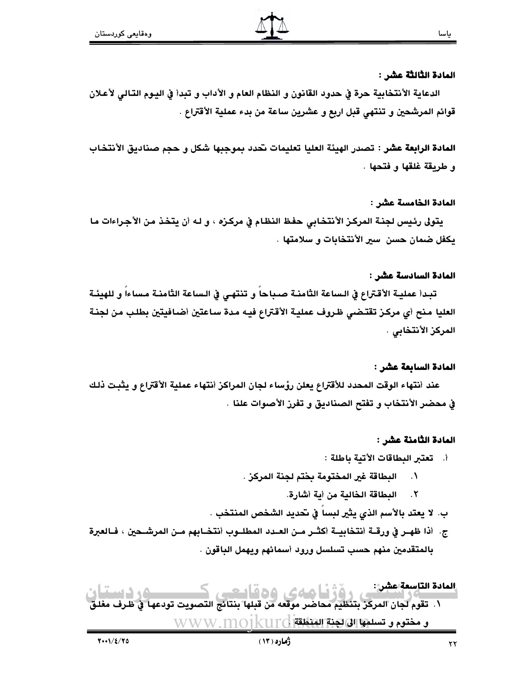### المادة الثَّالثَّة عشر :

الدعاية الأنتخابية حرة في حدود القانون و النظام العام و الأداب و تبدأ في اليوم التـالي لأعـلان قوائم المرشحين و تنتهي قبل اربع و عشرين ساعة من بدء عملية الأقتراع .

المادة الرابعة عشر : تصدر الهيئة العليا تعليمات نحدد بموجبها شكل و حجم صناديق الأنتخاب و طريقة غلقها و فتحها .

#### المادة الخامسة عشر :

يتولى رئيس لجنـة المركـز الأنتخـابي حفـظ النظـام في مركـزه ، و لـه أن يتخـذ مـن الأجـراءات مـا يكفل ضمان حسن ٍ سير الأنتخابات و سلامتها .

### المادة السادسة عشر :

تبدأ عملية الأقتراع في الـساعة الثامنـة صـباحا و تنتهـى في الـساعة الثامنـة مـساءا و للهيئـة العليا منح أي مركز تقتضي ظروف عملية الأقتراع فيه مدة ساعتين أضافيتين بطلب من لجنة المركز الأنتخابي .

### المادة السابعة عشر :

عند أنتهاء الوقت المحدد للأقتراع يعلن رؤساء لجان المراكز أنتهاء عملية الأقتراع و يثبت ذلك في محضر الأنتخاب و تفتح الصناديق و تفرز الأصوات علنا .

### المادة الثامنة عشر :

- أ. تعتبر البطاقات الأتية باطلة :
- البطاقة غير المختومة بختم لجنة المركز .  $\cdot$ .
	- ٢. البطاقة الخالية من أية أشارة.
- ب. لا يعتد بالأسم الذي يثير لبسا في تحديد الشخص المنتخب .
- ج. أذا ظهـر في ورقــة أنتخابيــة أكثــر مـن العــدد المطلــوب أنتخــابهم مـن المرشــحين ، فــالعبرة بالمتقدمين منهم حسب تسلسل ورود أسمائهم ويهمل الباقون .

المادة التاسعة عشر: -- المستحدث المركز بتنظيم محاضر موقف من قيلها بنتائج التصبوت تودعها في ظرف مغلو<br>١. تقوم لجان المركز بتنظيم محاضر موقعه من قبلها بنتائج التصويت تودعها في ظرف مغلو و مختوم و تسلمها الى لكنة الهنطقة [] WWW.MO1kU10